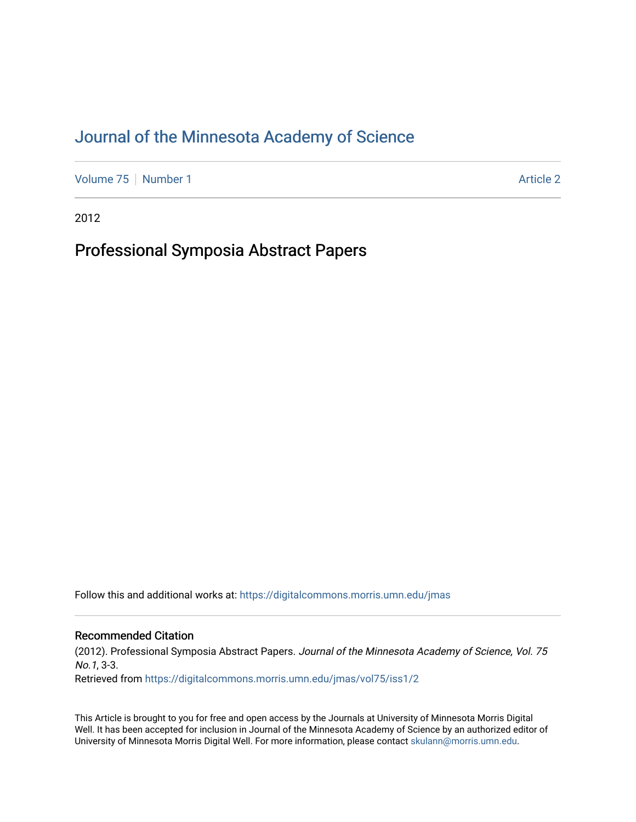# [Journal of the Minnesota Academy of Science](https://digitalcommons.morris.umn.edu/jmas)

[Volume 75](https://digitalcommons.morris.umn.edu/jmas/vol75) [Number 1](https://digitalcommons.morris.umn.edu/jmas/vol75/iss1) Article 2

2012

# Professional Symposia Abstract Papers

Follow this and additional works at: [https://digitalcommons.morris.umn.edu/jmas](https://digitalcommons.morris.umn.edu/jmas?utm_source=digitalcommons.morris.umn.edu%2Fjmas%2Fvol75%2Fiss1%2F2&utm_medium=PDF&utm_campaign=PDFCoverPages) 

#### Recommended Citation

(2012). Professional Symposia Abstract Papers. Journal of the Minnesota Academy of Science, Vol. 75 No.1, 3-3. Retrieved from [https://digitalcommons.morris.umn.edu/jmas/vol75/iss1/2](https://digitalcommons.morris.umn.edu/jmas/vol75/iss1/2?utm_source=digitalcommons.morris.umn.edu%2Fjmas%2Fvol75%2Fiss1%2F2&utm_medium=PDF&utm_campaign=PDFCoverPages)

This Article is brought to you for free and open access by the Journals at University of Minnesota Morris Digital Well. It has been accepted for inclusion in Journal of the Minnesota Academy of Science by an authorized editor of University of Minnesota Morris Digital Well. For more information, please contact [skulann@morris.umn.edu](mailto:skulann@morris.umn.edu).